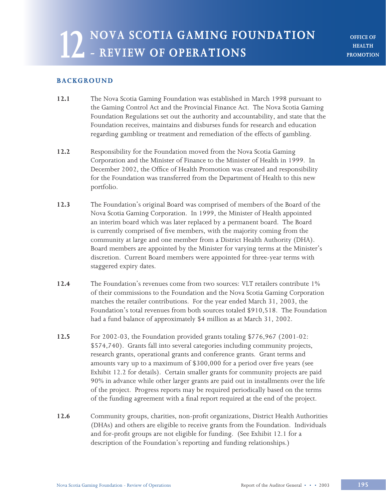**OFFICE OF HEALTH PROMOTION**

# **BACKGROUND**

- **12.1** The Nova Scotia Gaming Foundation was established in March 1998 pursuant to the Gaming Control Act and the Provincial Finance Act. The Nova Scotia Gaming Foundation Regulations set out the authority and accountability, and state that the Foundation receives, maintains and disburses funds for research and education regarding gambling or treatment and remediation of the effects of gambling.
- **12.2** Responsibility for the Foundation moved from the Nova Scotia Gaming Corporation and the Minister of Finance to the Minister of Health in 1999. In December 2002, the Office of Health Promotion was created and responsibility for the Foundation was transferred from the Department of Health to this new portfolio.
- **12.3** The Foundation's original Board was comprised of members of the Board of the Nova Scotia Gaming Corporation. In 1999, the Minister of Health appointed an interim board which was later replaced by a permanent board. The Board is currently comprised of five members, with the majority coming from the community at large and one member from a District Health Authority (DHA). Board members are appointed by the Minister for varying terms at the Minister's discretion. Current Board members were appointed for three-year terms with staggered expiry dates.
- **12.4** The Foundation's revenues come from two sources: VLT retailers contribute 1% of their commissions to the Foundation and the Nova Scotia Gaming Corporation matches the retailer contributions. For the year ended March 31, 2003, the Foundation's total revenues from both sources totaled \$910,518. The Foundation had a fund balance of approximately \$4 million as at March 31, 2002.
- **12.5** For 2002-03, the Foundation provided grants totaling \$776,967 (2001-02: \$574,740). Grants fall into several categories including community projects, research grants, operational grants and conference grants. Grant terms and amounts vary up to a maximum of \$300,000 for a period over five years (see Exhibit 12.2 for details). Certain smaller grants for community projects are paid 90% in advance while other larger grants are paid out in installments over the life of the project. Progress reports may be required periodically based on the terms of the funding agreement with a final report required at the end of the project.
- **12.6** Community groups, charities, non-profit organizations, District Health Authorities (DHAs) and others are eligible to receive grants from the Foundation. Individuals and for-profit groups are not eligible for funding. (See Exhibit 12.1 for a description of the Foundation's reporting and funding relationships.)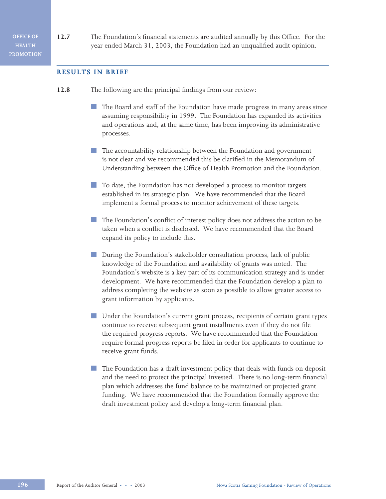**12.7** The Foundation's financial statements are audited annually by this Office. For the year ended March 31, 2003, the Foundation had an unqualified audit opinion.

#### **RESULTS IN BRIEF**

- **12.8** The following are the principal findings from our review:
	- The Board and staff of the Foundation have made progress in many areas since assuming responsibility in 1999. The Foundation has expanded its activities and operations and, at the same time, has been improving its administrative processes.
	- The accountability relationship between the Foundation and government is not clear and we recommended this be clarified in the Memorandum of Understanding between the Office of Health Promotion and the Foundation.
	- To date, the Foundation has not developed a process to monitor targets established in its strategic plan. We have recommended that the Board implement a formal process to monitor achievement of these targets.
	- The Foundation's conflict of interest policy does not address the action to be taken when a conflict is disclosed. We have recommended that the Board expand its policy to include this.
	- **During the Foundation's stakeholder consultation process, lack of public** knowledge of the Foundation and availability of grants was noted. The Foundation's website is a key part of its communication strategy and is under development. We have recommended that the Foundation develop a plan to address completing the website as soon as possible to allow greater access to grant information by applicants.
	- Under the Foundation's current grant process, recipients of certain grant types continue to receive subsequent grant installments even if they do not file the required progress reports. We have recommended that the Foundation require formal progress reports be filed in order for applicants to continue to receive grant funds.
	- The Foundation has a draft investment policy that deals with funds on deposit and the need to protect the principal invested. There is no long-term financial plan which addresses the fund balance to be maintained or projected grant funding. We have recommended that the Foundation formally approve the draft investment policy and develop a long-term financial plan.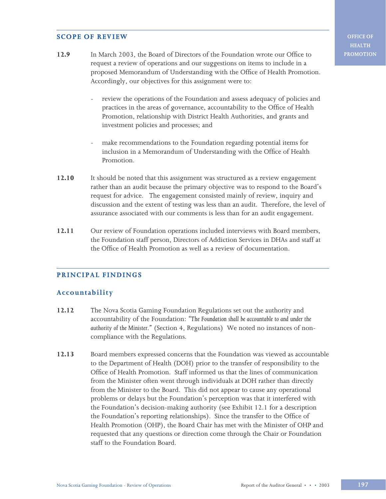# **SCOPE OF REVIEW**

- **12.9** In March 2003, the Board of Directors of the Foundation wrote our Office to request a review of operations and our suggestions on items to include in a proposed Memorandum of Understanding with the Office of Health Promotion. Accordingly, our objectives for this assignment were to:
	- review the operations of the Foundation and assess adequacy of policies and practices in the areas of governance, accountability to the Office of Health Promotion, relationship with District Health Authorities, and grants and investment policies and processes; and
	- make recommendations to the Foundation regarding potential items for inclusion in a Memorandum of Understanding with the Office of Health Promotion.
- **12.10** It should be noted that this assignment was structured as a review engagement rather than an audit because the primary objective was to respond to the Board's request for advice. The engagement consisted mainly of review, inquiry and discussion and the extent of testing was less than an audit. Therefore, the level of assurance associated with our comments is less than for an audit engagement.
- **12.11** Our review of Foundation operations included interviews with Board members, the Foundation staff person, Directors of Addiction Services in DHAs and staff at the Office of Health Promotion as well as a review of documentation.

# **PRINCIPAL FINDINGS**

# **Accountability**

- **12.12** The Nova Scotia Gaming Foundation Regulations set out the authority and accountability of the Foundation: *"The Foundation shall be accountable to and under the authority of the Minister."* (Section 4, Regulations) We noted no instances of noncompliance with the Regulations.
- **12.13** Board members expressed concerns that the Foundation was viewed as accountable to the Department of Health (DOH) prior to the transfer of responsibility to the Office of Health Promotion. Staff informed us that the lines of communication from the Minister often went through individuals at DOH rather than directly from the Minister to the Board. This did not appear to cause any operational problems or delays but the Foundation's perception was that it interfered with the Foundation's decision-making authority (see Exhibit 12.1 for a description the Foundation's reporting relationships). Since the transfer to the Office of Health Promotion (OHP), the Board Chair has met with the Minister of OHP and requested that any questions or direction come through the Chair or Foundation staff to the Foundation Board.

**OFFICE OF HEALTH PROMOTION**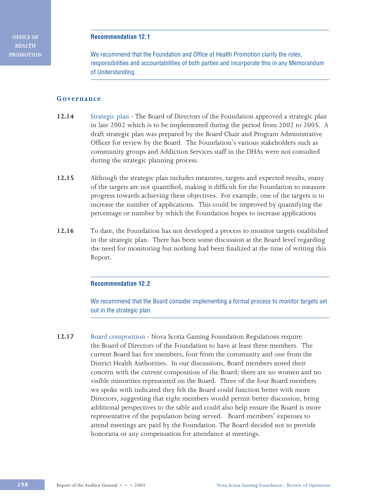**OFFICE OF HEALTH PROMOTION**

#### **Recommendation 12.1**

We recommend that the Foundation and Office of Health Promotion clarify the roles, responsibilities and accountabilities of both parties and incorporate this in any Memorandum of Understanding.

# **Governance**

- **12.14** Strategic plan The Board of Directors of the Foundation approved a strategic plan in late 2002 which is to be implemented during the period from 2002 to 2005. A draft strategic plan was prepared by the Board Chair and Program Administrative Officer for review by the Board. The Foundation's various stakeholders such as community groups and Addiction Services staff in the DHAs were not consulted during the strategic planning process.
- **12.15** Although the strategic plan includes measures, targets and expected results, many of the targets are not quantified, making it difficult for the Foundation to measure progress towards achieving these objectives. For example, one of the targets is to increase the number of applications. This could be improved by quantifying the percentage or number by which the Foundation hopes to increase applications
- **12.16** To date, the Foundation has not developed a process to monitor targets established in the strategic plan. There has been some discussion at the Board level regarding the need for monitoring but nothing had been finalized at the time of writing this Report.

#### **Recommendation 12.2**

We recommend that the Board consider implementing a formal process to monitor targets set out in the strategic plan.

**12.17** Board composition *-* Nova Scotia Gaming Foundation Regulations require the Board of Directors of the Foundation to have at least three members. The current Board has five members, four from the community and one from the District Health Authorities. In our discussions, Board members noted their concern with the current composition of the Board; there are no women and no visible minorities represented on the Board. Three of the four Board members we spoke with indicated they felt the Board could function better with more Directors, suggesting that eight members would permit better discussion, bring additional perspectives to the table and could also help ensure the Board is more representative of the population being served. Board members' expenses to attend meetings are paid by the Foundation. The Board decided not to provide honoraria or any compensation for attendance at meetings.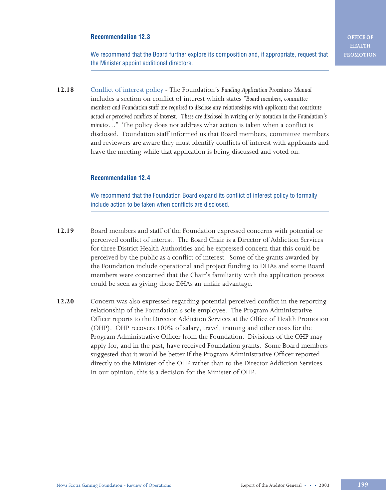## **Recommendation 12.3**

We recommend that the Board further explore its composition and, if appropriate, request that the Minister appoint additional directors.

**12.18** Conflict of interest policy *-* The Foundation's *Funding Application Procedures Manual* includes a section on conflict of interest which states *"Board members, committee members and Foundation staff are required to disclose any relationships with applicants that constitute actual or perceived conflicts of interest. These are disclosed in writing or by notation in the Foundation's minutes…"* The policy does not address what action is taken when a conflict is disclosed. Foundation staff informed us that Board members, committee members and reviewers are aware they must identify conflicts of interest with applicants and leave the meeting while that application is being discussed and voted on.

#### **Recommendation 12.4**

We recommend that the Foundation Board expand its conflict of interest policy to formally include action to be taken when conflicts are disclosed.

- **12.19** Board members and staff of the Foundation expressed concerns with potential or perceived conflict of interest. The Board Chair is a Director of Addiction Services for three District Health Authorities and he expressed concern that this could be perceived by the public as a conflict of interest. Some of the grants awarded by the Foundation include operational and project funding to DHAs and some Board members were concerned that the Chair's familiarity with the application process could be seen as giving those DHAs an unfair advantage.
- **12.20** Concern was also expressed regarding potential perceived conflict in the reporting relationship of the Foundation's sole employee. The Program Administrative Officer reports to the Director Addiction Services at the Office of Health Promotion (OHP). OHP recovers 100% of salary, travel, training and other costs for the Program Administrative Officer from the Foundation. Divisions of the OHP may apply for, and in the past, have received Foundation grants. Some Board members suggested that it would be better if the Program Administrative Officer reported directly to the Minister of the OHP rather than to the Director Addiction Services. In our opinion, this is a decision for the Minister of OHP.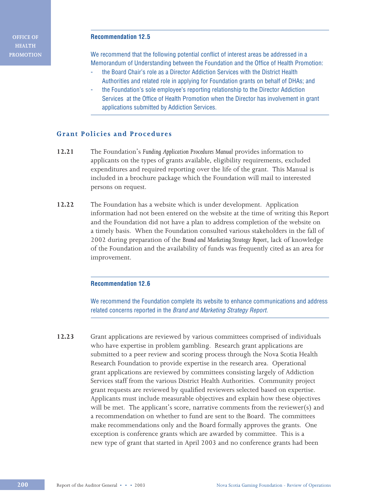**OFFICE OF HEALTH PROMOTION**

#### **Recommendation 12.5**

We recommend that the following potential conflict of interest areas be addressed in a Memorandum of Understanding between the Foundation and the Office of Health Promotion:

- the Board Chair's role as a Director Addiction Services with the District Health Authorities and related role in applying for Foundation grants on behalf of DHAs; and
- the Foundation's sole employee's reporting relationship to the Director Addiction Services at the Office of Health Promotion when the Director has involvement in grant applications submitted by Addiction Services.

# **Grant Policies and Procedures**

- **12.21** The Foundation's *Funding Application Procedures Manual* provides information to applicants on the types of grants available, eligibility requirements, excluded expenditures and required reporting over the life of the grant. This Manual is included in a brochure package which the Foundation will mail to interested persons on request.
- **12.22** The Foundation has a website which is under development. Application information had not been entered on the website at the time of writing this Report and the Foundation did not have a plan to address completion of the website on a timely basis. When the Foundation consulted various stakeholders in the fall of 2002 during preparation of the *Brand and Marketing Strategy Report*, lack of knowledge of the Foundation and the availability of funds was frequently cited as an area for improvement.

#### **Recommendation 12.6**

We recommend the Foundation complete its website to enhance communications and address related concerns reported in the Brand and Marketing Strategy Report.

**12.23** Grant applications are reviewed by various committees comprised of individuals who have expertise in problem gambling. Research grant applications are submitted to a peer review and scoring process through the Nova Scotia Health Research Foundation to provide expertise in the research area. Operational grant applications are reviewed by committees consisting largely of Addiction Services staff from the various District Health Authorities. Community project grant requests are reviewed by qualified reviewers selected based on expertise. Applicants must include measurable objectives and explain how these objectives will be met. The applicant's score, narrative comments from the reviewer(s) and a recommendation on whether to fund are sent to the Board. The committees make recommendations only and the Board formally approves the grants. One exception is conference grants which are awarded by committee. This is a new type of grant that started in April 2003 and no conference grants had been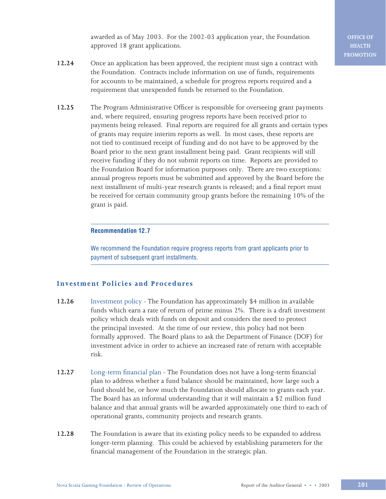awarded as of May 2003. For the 2002-03 application year, the Foundation approved 18 grant applications.

- **12.24** Once an application has been approved, the recipient must sign a contract with the Foundation. Contracts include information on use of funds, requirements for accounts to be maintained, a schedule for progress reports required and a requirement that unexpended funds be returned to the Foundation.
- **12.25** The Program Administrative Officer is responsible for overseeing grant payments and, where required, ensuring progress reports have been received prior to payments being released. Final reports are required for all grants and certain types of grants may require interim reports as well. In most cases, these reports are not tied to continued receipt of funding and do not have to be approved by the Board prior to the next grant installment being paid. Grant recipients will still receive funding if they do not submit reports on time. Reports are provided to the Foundation Board for information purposes only. There are two exceptions: annual progress reports must be submitted and approved by the Board before the next installment of multi-year research grants is released; and a final report must be received for certain community group grants before the remaining 10% of the grant is paid.

#### **Recommendation 12.7**

We recommend the Foundation require progress reports from grant applicants prior to payment of subsequent grant installments.

# **Investment Policies and Procedures**

- **12.26** Investment policyThe Foundation has approximately \$4 million in available funds which earn a rate of return of prime minus 2%. There is a draft investment policy which deals with funds on deposit and considers the need to protect the principal invested. At the time of our review, this policy had not been formally approved. The Board plans to ask the Department of Finance (DOF) for investment advice in order to achieve an increased rate of return with acceptable risk.
- **12.27** Long-term financial planThe Foundation does not have a long-term financial plan to address whether a fund balance should be maintained, how large such a fund should be, or how much the Foundation should allocate to grants each year. The Board has an informal understanding that it will maintain a \$2 million fund balance and that annual grants will be awarded approximately one third to each of operational grants, community projects and research grants.
- **12.28** The Foundation is aware that its existing policy needs to be expanded to address longer-term planning. This could be achieved by establishing parameters for the financial management of the Foundation in the strategic plan.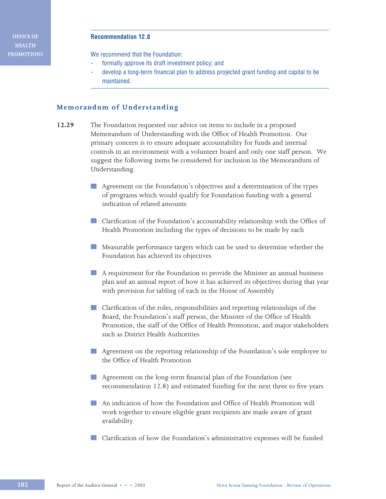#### **Recommendation 12.8**

We recommend that the Foundation:

- formally approve its draft investment policy; and
- develop a long-term financial plan to address projected grant funding and capital to be maintained.

## **Memorandum of Understanding**

- **12.29** The Foundation requested our advice on items to include in a proposed Memorandum of Understanding with the Office of Health Promotion. Our primary concern is to ensure adequate accountability for funds and internal controls in an environment with a volunteer board and only one staff person. We suggest the following items be considered for inclusion in the Memorandum of Understanding.
	- Agreement on the Foundation's objectives and a determination of the types **Contract** of programs which would qualify for Foundation funding with a general indication of related amounts
	- **Clarification of the Foundation's accountability relationship with the Office of** Health Promotion including the types of decisions to be made by each
	- Measurable performance targets which can be used to determine whether the Foundation has achieved its objectives
	- A requirement for the Foundation to provide the Minister an annual business plan and an annual report of how it has achieved its objectives during that year with provision for tabling of each in the House of Assembly
	- **Clarification of the roles, responsibilities and reporting relationships of the** Board, the Foundation's staff person, the Minister of the Office of Health Promotion, the staff of the Office of Health Promotion, and major stakeholders such as District Health Authorities
	- Agreement on the reporting relationship of the Foundation's sole employee to the Office of Health Promotion
	- **Agreement on the long-term financial plan of the Foundation (see** recommendation 12.8) and estimated funding for the next three to five years
	- An indication of how the Foundation and Office of Health Promotion will work together to ensure eligible grant recipients are made aware of grant availability
	- Clarification of how the Foundation's administrative expenses will be funded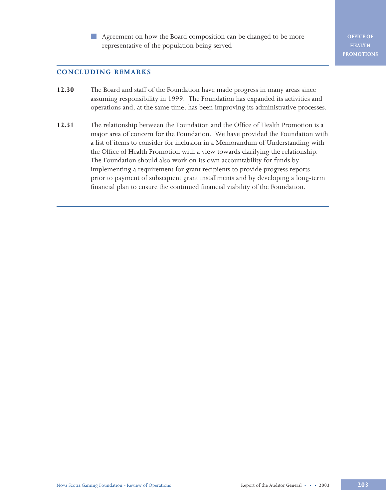Agreement on how the Board composition can be changed to be more representative of the population being served

**OFFICE OF HEALTH PROMOTIONS**

# **CONCLUDING REMARKS**

- **12.30** The Board and staff of the Foundation have made progress in many areas since assuming responsibility in 1999. The Foundation has expanded its activities and operations and, at the same time, has been improving its administrative processes.
- **12.31** The relationship between the Foundation and the Office of Health Promotion is a major area of concern for the Foundation. We have provided the Foundation with a list of items to consider for inclusion in a Memorandum of Understanding with the Office of Health Promotion with a view towards clarifying the relationship. The Foundation should also work on its own accountability for funds by implementing a requirement for grant recipients to provide progress reports prior to payment of subsequent grant installments and by developing a long-term financial plan to ensure the continued financial viability of the Foundation.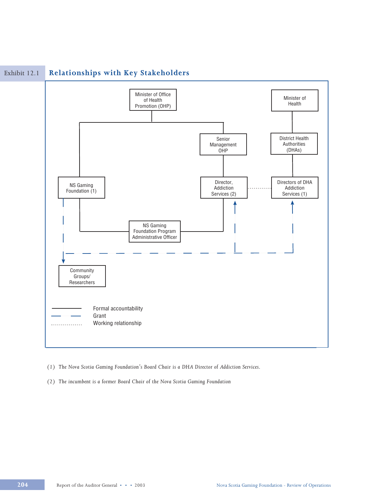

# Exhibit 12.1 **Relationships with Key Stakeholders**

- *(1) The Nova Scotia Gaming Foundation's Board Chair is a DHA Director of Addiction Services.*
- *(2) The incumbent is a former Board Chair of the Nova Scotia Gaming Foundation*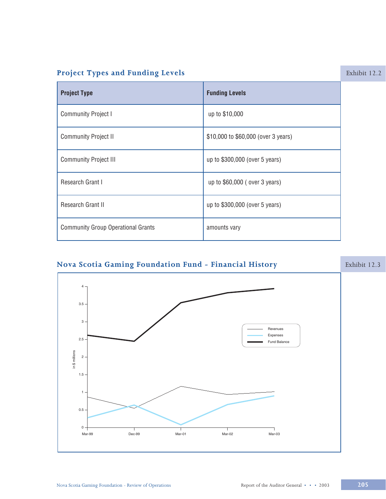# **Project Types and Funding Levels**

| <b>Project Type</b>                       | <b>Funding Levels</b>               |
|-------------------------------------------|-------------------------------------|
| <b>Community Project I</b>                | up to \$10,000                      |
| <b>Community Project II</b>               | \$10,000 to \$60,000 (over 3 years) |
| <b>Community Project III</b>              | up to \$300,000 (over 5 years)      |
| Research Grant I                          | up to \$60,000 (over 3 years)       |
| Research Grant II                         | up to \$300,000 (over 5 years)      |
| <b>Community Group Operational Grants</b> | amounts vary                        |

# Nova Scotia Gaming Foundation Fund - Financial History Exhibit 12.3  $\overline{4}$  $3.5 3 -$ Revenues Expenses  $2.5$ Fund Balance in \$ millions  $\overline{2}$  $1.5 \mathbf{1}$  $0.5 0 -$ Mar-99 Dec-99 Mar-01 Mar-02 Mar-03

#### Nova Scotia Gaming Foundation - Review of Operations

#### Report of the Auditor General • • • 2003

# $\boxed{205}$

Exhibit 12.2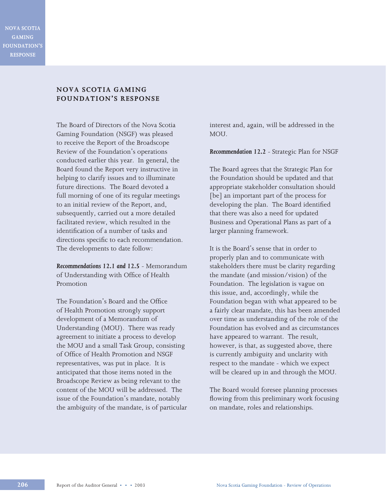**NOVA SCOTIA GAMING FOUNDATION'S RESPONSE**

# **NOVA SCOTIA GAMING FOUNDATION'S RESPONSE**

The Board of Directors of the Nova Scotia Gaming Foundation (NSGF) was pleased to receive the Report of the Broadscope Review of the Foundation's operations conducted earlier this year. In general, the Board found the Report very instructive in helping to clarify issues and to illuminate future directions. The Board devoted a full morning of one of its regular meetings to an initial review of the Report, and, subsequently, carried out a more detailed facilitated review, which resulted in the identification of a number of tasks and directions specific to each recommendation. The developments to date follow:

*Recommendations 12.1 and 12.5* - Memorandum of Understanding with Office of Health Promotion

The Foundation's Board and the Office of Health Promotion strongly support development of a Memorandum of Understanding (MOU). There was ready agreement to initiate a process to develop the MOU and a small Task Group, consisting of Office of Health Promotion and NSGF representatives, was put in place. It is anticipated that those items noted in the Broadscope Review as being relevant to the content of the MOU will be addressed. The issue of the Foundation's mandate, notably the ambiguity of the mandate, is of particular interest and, again, will be addressed in the MOU.

*Recommendation 12.2* - Strategic Plan for NSGF

The Board agrees that the Strategic Plan for the Foundation should be updated and that appropriate stakeholder consultation should [be] an important part of the process for developing the plan. The Board identified that there was also a need for updated Business and Operational Plans as part of a larger planning framework.

It is the Board's sense that in order to properly plan and to communicate with stakeholders there must be clarity regarding the mandate (and mission/vision) of the Foundation. The legislation is vague on this issue, and, accordingly, while the Foundation began with what appeared to be a fairly clear mandate, this has been amended over time as understanding of the role of the Foundation has evolved and as circumstances have appeared to warrant. The result, however, is that, as suggested above, there is currently ambiguity and unclarity with respect to the mandate - which we expect will be cleared up in and through the MOU.

The Board would foresee planning processes flowing from this preliminary work focusing on mandate, roles and relationships.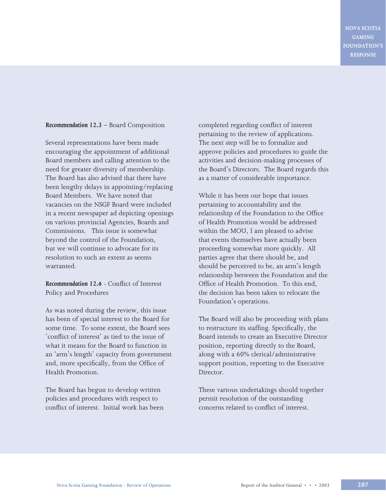**NOVA SCOTIA GAMING FOUNDATION'S RESPONSE**

#### *Recommendation 12.3* – Board Composition

Several representations have been made encouraging the appointment of additional Board members and calling attention to the need for greater diversity of membership. The Board has also advised that there have been lengthy delays in appointing/replacing Board Members. We have noted that vacancies on the NSGF Board were included in a recent newspaper ad depicting openings on various provincial Agencies, Boards and Commissions. This issue is somewhat beyond the control of the Foundation, but we will continue to advocate for its resolution to such an extent as seems warranted.

*Recommendation 12.4* - Conflict of Interest Policy and Procedures

As was noted during the review, this issue has been of special interest to the Board for some time. To some extent, the Board sees 'conflict of interest' as tied to the issue of what it means for the Board to function in an 'arm's length' capacity from government and, more specifically, from the Office of Health Promotion.

The Board has begun to develop written policies and procedures with respect to conflict of interest. Initial work has been

completed regarding conflict of interest pertaining to the review of applications. The next step will be to formalize and approve policies and procedures to guide the activities and decision-making processes of the Board's Directors. The Board regards this as a matter of considerable importance.

While it has been our hope that issues pertaining to accountability and the relationship of the Foundation to the Office of Health Promotion would be addressed within the MOU, I am pleased to advise that events themselves have actually been proceeding somewhat more quickly. All parties agree that there should be, and should be perceived to be, an arm's length relationship between the Foundation and the Office of Health Promotion. To this end, the decision has been taken to relocate the Foundation's operations.

The Board will also be proceeding with plans to restructure its staffing. Specifically, the Board intends to create an Executive Director position, reporting directly to the Board, along with a 60% clerical/administrative support position, reporting to the Executive Director.

These various undertakings should together permit resolution of the outstanding concerns related to conflict of interest.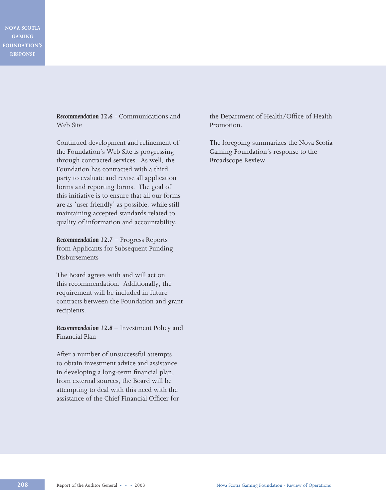**NOVA SCOTIA GAMING FOUNDATION'S RESPONSE**

> *Recommendation 12.6* - Communications and Web Site

> Continued development and refinement of the Foundation's Web Site is progressing through contracted services. As well, the Foundation has contracted with a third party to evaluate and revise all application forms and reporting forms. The goal of this initiative is to ensure that all our forms are as 'user friendly' as possible, while still maintaining accepted standards related to quality of information and accountability.

*Recommendation 12.7* – Progress Reports from Applicants for Subsequent Funding Disbursements

The Board agrees with and will act on this recommendation. Additionally, the requirement will be included in future contracts between the Foundation and grant recipients.

*Recommendation 12.8* – Investment Policy and Financial Plan

After a number of unsuccessful attempts to obtain investment advice and assistance in developing a long-term financial plan, from external sources, the Board will be attempting to deal with this need with the assistance of the Chief Financial Officer for the Department of Health/Office of Health Promotion.

The foregoing summarizes the Nova Scotia Gaming Foundation's response to the Broadscope Review.